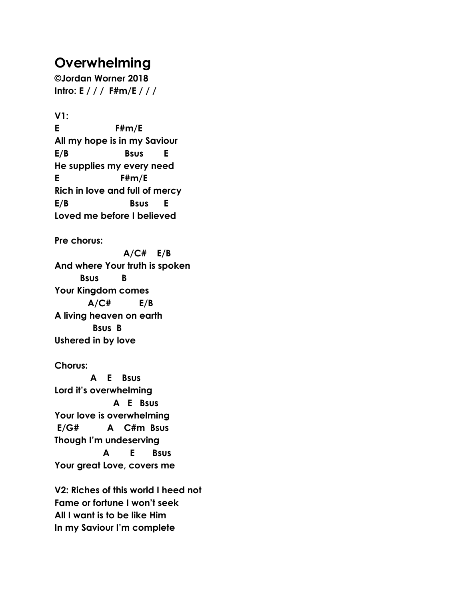## **Overwhelming**

**©Jordan Worner 2018 Intro: E / / / F#m/E / / /**

**V1: E F#m/E All my hope is in my Saviour E/B Bsus E He supplies my every need E F#m/E Rich in love and full of mercy E/B Bsus E Loved me before I believed**

**Pre chorus:**

 **A/C# E/B And where Your truth is spoken Bsus B Your Kingdom comes A/C# E/B A living heaven on earth Bsus B Ushered in by love**

## **Chorus:**

 **A E Bsus Lord it's overwhelming A E Bsus Your love is overwhelming E/G# A C#m Bsus Though I'm undeserving A E Bsus Your great Love, covers me**

**V2: Riches of this world I heed not Fame or fortune I won't seek All I want is to be like Him In my Saviour I'm complete**